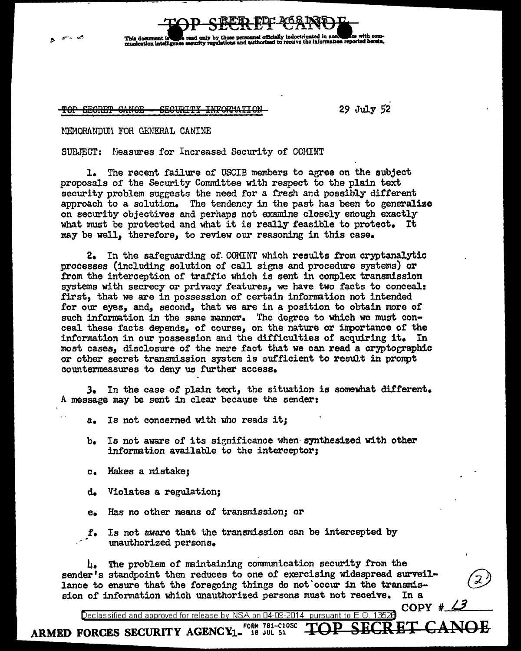TOP SECRET CANOE - SECURITY INFORMATION 29 July 52

# MEMORANDUM FOR GENERAL CANINE

This domment ation intellige

SUBJECT: Neasures for Increased Security of COMINT

l. The recent failure of USCIB members to agree on the subject proposals of the Security Committee with respect to the plain text security problem suggests the need for a fresh and possibly different approach to a solution. The tendency in the past has been to generalize on security objectives and perhaps not examine closely enough exactly what must be protected and what it is really feasible to protect. It may be well, therefore, to review our reasoning in this case.

read only by those personnel officially indoctrinated in accounties with<br>security perulations and authorized to receive the information reported by

2. In the safeguarding of COMINT which results from cryptanalytic processes (including solution of call siens and procedure systems) or £rom the interception of traffic which is sent in complex transmission systems with secrecy or privacy features, we have two facts to conceal: .first, that we are in possession of certain information not intended for our eyes, and, second, that we are in a position to obtain more of such information in the same manner. The degree to which we must conceal these facts depends, of course, on the nature or importance of the information in our possession and the difficulties of acquiring it. In most cases, disclosure of the mere fact that we can read a cryptographic or other secret transmission system is sufficient to result in prompt countermeasures to deny us further access.

3. In the case of plain text, the situation is somewhat ditferent. A message may be sent in clear because the sender:

a. Is not concerned with who reads it;

- b. Is not aware of its significance when-synthesized with other information available to the interceptor;
- c. Makes a mistake;
- d. Violates a regulation;

ARMED FORCES SECURITY  $AGENCY_1$ <sup>Form 781-C10SC</sup>

- e. Has no other means of' transmission; or
- f. Is not aware that the transmission can be intercepted by unauthorized persons.

 $\mu_{\bullet}$  The problem of maintaining communication security from the  $\frac{1}{4}$ . The problem of maintaining communication security from the<br>sender's standpoint then reduces to one of exercising widespread surveil-<br>lance to ensure that the foregoing things do not occur in the transmislance to ensure that the foregoing things do not occur in the transmis-<br>sion of information which unauthorized persons must not receive. In a

COPY #

Declassified and approved for release by NSA on 04-09-2014 pursuant to E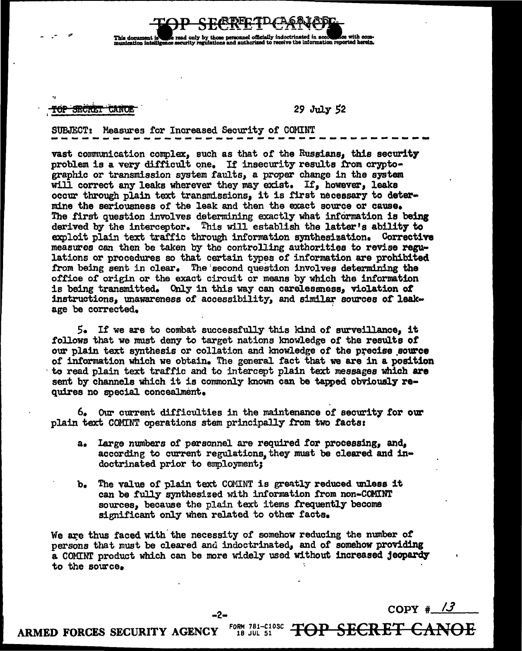onnel officially indoctrin nd authorized to receive the information reported l

#### TOP SECRET CANOI

### 29 July 52

## SUBJECT: Measures for Increased Security of COMINT

vast communication complex, such as that of the Russians, this security problem is a very difficult one. If insecurity results from cryptographic or transmission system faults, a proper change in the system will correct any leaks wherever they may exist. If, however, leaks occur through plain text transmissions, it is first necessary to determine the seriousness of the leak and then the exact source or cause. The first question involves determining exactly what information is being derived by the interceptor. This will establish the latter's ability to exploit plain text traffic through information synthesization. Corrective measures can then be taken by the controlling authorities to revise regulations or procedures so that certain types of information are prohibited from being sent in clear. The second question involves determining the office of origin or the exact circuit or means by which the information is being transmitted. Only in this way can carelessness, violation of instructions, unawareness of accessibility, and similar sources of leakage be corrected.

 $5.5$  If we are to combat successfully this kind of surveillance, it follows that we must deny to target nations knowledge of the results of our plain text synthesis or collation and knowledge of the precise source of information which we obtain. The general fact that we are in a position to read plain text traffic and to intercept plain text messages which are sent by channels which it is commonly known can be tapped obviously requires no special concealment.

6. Our current difficulties in the maintenance of security for our plain text COMINT operations stem principally from two facts:

- large numbers of personnel are required for processing, and,  $a_{\bullet}$ according to current regulations, they must be cleared and indoctrinated prior to employment;
- The value of plain text COMINT is greatly reduced unless it b. can be fully synthesized with information from non-COMINT sources, because the plain text items frequently become significant only when related to other facts.

We are thus faced with the necessity of somehow reducing the number of persons that must be cleared and indoctrinated, and of somehow providing a COMINT product which can be more widely used without increased jeopardy to the source.

 $COPY \# /3$ 

<del>TOP SECRET</del>

ARMED FORCES SECURITY AGENCY

FORM 781-C10SC 18 JUL 51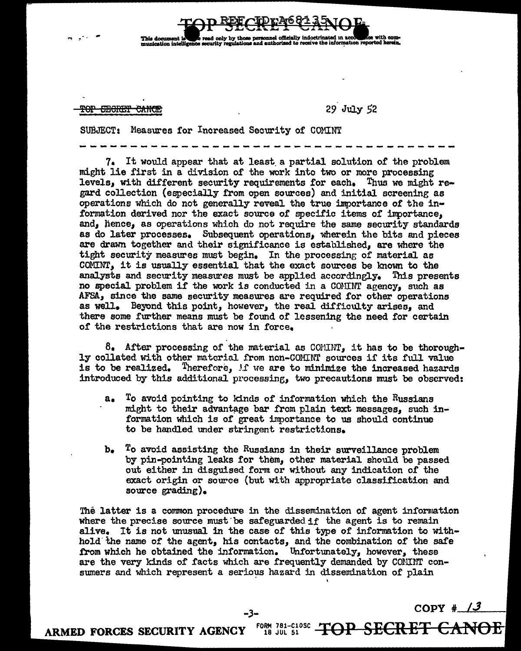<del>TOP EECRET CANCE</del>

**PPhila Announced I** 

...

29 July 52

read only by those personnel officially indoctrinated in accorrect for with com-<br>security requisions and authorized to receive the information reported herein.

SUBJECT: Measures for Increased Security of COMINT

~~-------------------~--------~---~-~ 7 a It would appear that at least. a partial solution of the problem might lie first in a division of the work into two or more processing levels, with different security requirements for each, Thus we might regard collection {especially from open sources) and initial screening as operations which do not generally reveal the true importance of the information derived nor the exact source of specific items or inportance, and, hence, as operations which do not require the same security standards as do later processes. Subsequent operations, wherein the bits and pieces are drawn together and their significance is established, are where the tight security measures must begin. In the processing of material as COMINT, it is usually essential that the exact sources be known to the analysts and security measures must be applied accordingly. This presents no special problem if the work is conducted in a COMINT agency, such as AFSA, since the same security measures are required for other operations as well. Beyond this point, however, the real difficulty arises, and there some further means must be found of lessening the need for certain of the restrictions that are now in force,

 $8.$  After processing of the material as COMINT, it has to be thoroughly collated with other material from non-COMINT sources if its full value is to be realized. Therefore,  $f$  we are to minimize the increased hazards introduced by this additional processing, two precautions must be observed:

- a. To avoid pointing to klnds of information which the Russians might to their advantage bar from plain text messages, such information which is of great importance to us should continue to be handled under stringent restrictions.
- b, To avoid assisting the Russians in their surveillance problem by pin-pointing leaks for them, other material should be passed out either in disguised form or without any indication of the exact origin or source (but with appropriate classification and source grading).

The latter is a common procedure in the dissemination of agent information where the precise source must be safeguarded if the agent is to remain alive. It is not unusual in the case of this type of information to withhold. the name of the agent, his contacts, and the combination of the safe from which he obtained the information. Unfortunately, however, these are the very kinds of facts which are frequently demanded by CONINT consumers and which represent a serious hazard in dissemination of plain

I

-3- COPY # <u>13</u>

**TOP SECRET** 

ARMED FORCES SECURITY AGENCY